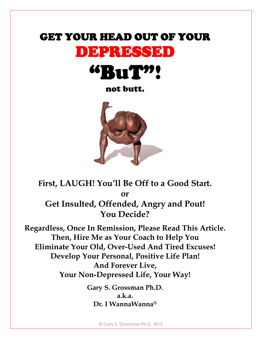# GET YOUR HEAD OUT OF YOUR DEPRESSED



not butt.



**First, LAUGH! You'll Be Off to a Good Start. or Get Insulted, Offended, Angry and Pout! You Decide?**

**Regardless, Once In Remission, Please Read This Article. Then, Hire Me as Your Coach to Help You Eliminate Your Old, Over-Used And Tired Excuses! Develop Your Personal, Positive Life Plan! And Forever Live, Your Non-Depressed Life, Your Way!**

> **Gary S. Grossman Ph.D. a.k.a. Dr. I WannaWanna®**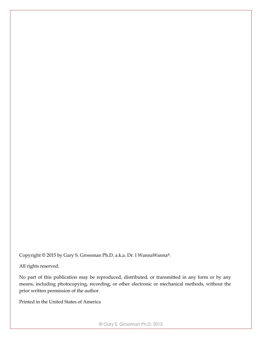Copyright © 2015 by Gary S. Grossman Ph.D. a.k.a. Dr. I WannaWanna®.

All rights reserved.

No part of this publication may be reproduced, distributed, or transmitted in any form or by any means, including photocopying, recording, or other electronic or mechanical methods, without the prior written permission of the author.

Printed in the United States of America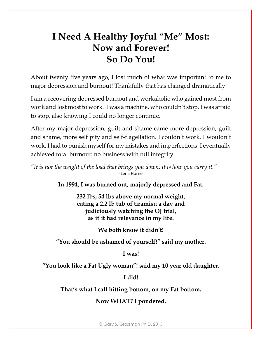# **I Need A Healthy Joyful "Me" Most: Now and Forever! So Do You!**

About twenty five years ago, I lost much of what was important to me to major depression and burnout! Thankfully that has changed dramatically.

I am a recovering depressed burnout and workaholic who gained most from work and lost most to work. I was a machine, who couldn't stop. I was afraid to stop, also knowing I could no longer continue.

After my major depression, guilt and shame came more depression, guilt and shame, more self pity and self-flagellation. I couldn't work. I wouldn't work. I had to punish myself for my mistakes and imperfections. I eventually achieved total burnout: no business with full integrity.

*"It is not the weight of the load that brings you down, it is how you carry it."* -Lena Horne

**In 1994, I was burned out, majorly depressed and Fat.**

**232 lbs, 54 lbs above my normal weight, eating a 2.2 lb tub of tiramisu a day and judiciously watching the OJ trial, as if it had relevance in my life.**

**We both know it didn't!**

**"You should be ashamed of yourself!" said my mother.**

**I was!**

**"You look like a Fat Ugly woman"! said my 10 year old daughter.**

**I did!**

**That's what I call hitting bottom, on my Fat bottom.**

**Now WHAT? I pondered.**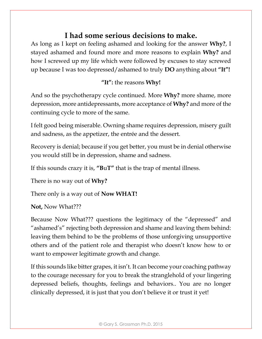### **I had some serious decisions to make.**

As long as I kept on feeling ashamed and looking for the answer **Why?**, I stayed ashamed and found more and more reasons to explain **Why?** and how I screwed up my life which were followed by excuses to stay screwed up because I was too depressed/ashamed to truly **DO** anything about **"It"!**

#### **"It":** the reasons **Why!**

And so the psychotherapy cycle continued. More **Why?** more shame, more depression, more antidepressants, more acceptance of **Why?** and more of the continuing cycle to more of the same.

I felt good being miserable. Owning shame requires depression, misery guilt and sadness, as the appetizer, the entrée and the dessert.

Recovery is denial; because if you get better, you must be in denial otherwise you would still be in depression, shame and sadness.

If this sounds crazy it is, **"B**u**T"** that is the trap of mental illness.

There is no way out of **Why?** 

There only is a way out of **Now WHAT!** 

**Not,** Now What???

Because Now What??? questions the legitimacy of the "depressed" and "ashamed's" rejecting both depression and shame and leaving them behind: leaving them behind to be the problems of those unforgiving unsupportive others and of the patient role and therapist who doesn't know how to or want to empower legitimate growth and change.

If this sounds like bitter grapes, it isn't. It can become your coaching pathway to the courage necessary for you to break the stranglehold of your lingering depressed beliefs, thoughts, feelings and behaviors.. You are no longer clinically depressed, it is just that you don't believe it or trust it yet!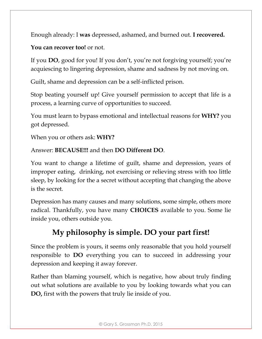Enough already: I **was** depressed, ashamed, and burned out. **I recovered.**

**You can recover too!** or not.

If you **DO**, good for you! If you don't, you're not forgiving yourself; you're acquiescing to lingering depression, shame and sadness by not moving on.

Guilt, shame and depression can be a self-inflicted prison.

Stop beating yourself up! Give yourself permission to accept that life is a process, a learning curve of opportunities to succeed.

You must learn to bypass emotional and intellectual reasons for **WHY?** you got depressed.

When you or others ask: **WHY?** 

Answer: **BECAUSE!!!** and then **DO Different DO**.

You want to change a lifetime of guilt, shame and depression, years of improper eating, drinking, not exercising or relieving stress with too little sleep, by looking for the a secret without accepting that changing the above is the secret.

Depression has many causes and many solutions, some simple, others more radical. Thankfully, you have many **CHOICES** available to you. Some lie inside you, others outside you.

# **My philosophy is simple. DO your part first!**

Since the problem is yours, it seems only reasonable that you hold yourself responsible to **DO** everything you can to succeed in addressing your depression and keeping it away forever.

Rather than blaming yourself, which is negative, how about truly finding out what solutions are available to you by looking towards what you can **DO,** first with the powers that truly lie inside of you.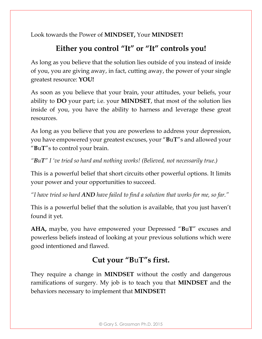Look towards the Power of **MINDSET,** Your **MINDSET!**

# **Either you control "It" or "It" controls you!**

As long as you believe that the solution lies outside of you instead of inside of you, you are giving away, in fact, cutting away, the power of your single greatest resource: **YOU!**

As soon as you believe that your brain, your attitudes, your beliefs, your ability to **DO** your part; i.e. your **MINDSET**, that most of the solution lies inside of you, you have the ability to harness and leverage these great resources.

As long as you believe that you are powerless to address your depression, you have empowered your greatest excuses, your "**B**u**T**"s and allowed your "**B**u**T**"s to control your brain.

*"BuT" I 've tried so hard and nothing works! (Believed, not necessarily true.)*

This is a powerful belief that short circuits other powerful options. It limits your power and your opportunities to succeed.

*"I have tried so hard AND have failed to find a solution that works for me, so far."* 

This is a powerful belief that the solution is available, that you just haven't found it yet.

**AHA,** maybe, you have empowered your Depressed "**B**u**T**" excuses and powerless beliefs instead of looking at your previous solutions which were good intentioned and flawed.

# **Cut your "B**u**T"s first.**

They require a change in **MINDSET** without the costly and dangerous ramifications of surgery. My job is to teach you that **MINDSET** and the behaviors necessary to implement that **MINDSET!**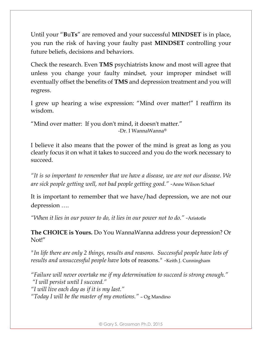Until your "**B**u**Ts**" are removed and your successful **MINDSET** is in place, you run the risk of having your faulty past **MINDSET** controlling your future beliefs, decisions and behaviors.

Check the research. Even **TMS** psychiatrists know and most will agree that unless you change your faulty mindset, your improper mindset will eventually offset the benefits of **TMS** and depression treatment and you will regress.

I grew up hearing a wise expression: "Mind over matter!" I reaffirm its wisdom.

"Mind over matter: If you don't mind, it doesn't matter." -Dr. I WannaWanna®

I believe it also means that the power of the mind is great as long as you clearly focus it on what it takes to succeed and you do the work necessary to succeed.

*"It is so important to remember that we have a disease, we are not our disease. We are sick people getting well, not bad people getting good." -*Anne Wilson Schaef

It is important to remember that we have/had depression, we are not our depression ….

*"When it lies in our power to do, it lies in our power not to do." -*Aristotle

**The CHOICE is Yours.** Do You WannaWanna address your depression? Or Not!"

*"In life there are only 2 things, results and reasons. Successful people have lots of results and unsuccessful people have* lots of reasons*." -*Keith J. Cunningham

*"Failure will never overtake me if my determination to succeed is strong enough." "I will persist until I succeed." "I will live each day as if it is my last." "Today I will be the master of my emotions."* – Og Mandino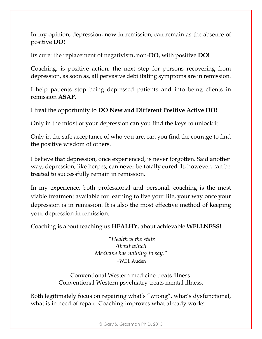In my opinion, depression, now in remission, can remain as the absence of positive **DO!**

Its cure: the replacement of negativism, non-**DO,** with positive **DO!**

Coaching, is positive action, the next step for persons recovering from depression, as soon as, all pervasive debilitating symptoms are in remission.

I help patients stop being depressed patients and into being clients in remission **ASAP.** 

I treat the opportunity to **DO New and Different Positive Active DO!** 

Only in the midst of your depression can you find the keys to unlock it.

Only in the safe acceptance of who you are, can you find the courage to find the positive wisdom of others.

I believe that depression, once experienced, is never forgotten. Said another way, depression, like herpes, can never be totally cured. It, however, can be treated to successfully remain in remission.

In my experience, both professional and personal, coaching is the most viable treatment available for learning to live your life, your way once your depression is in remission. It is also the most effective method of keeping your depression in remission.

Coaching is about teaching us **HEALHY,** about achievable **WELLNESS!**

*"Health is the state About which Medicine has nothing to say." -*W.H. Auden

Conventional Western medicine treats illness. Conventional Western psychiatry treats mental illness.

Both legitimately focus on repairing what's "wrong", what's dysfunctional, what is in need of repair. Coaching improves what already works.